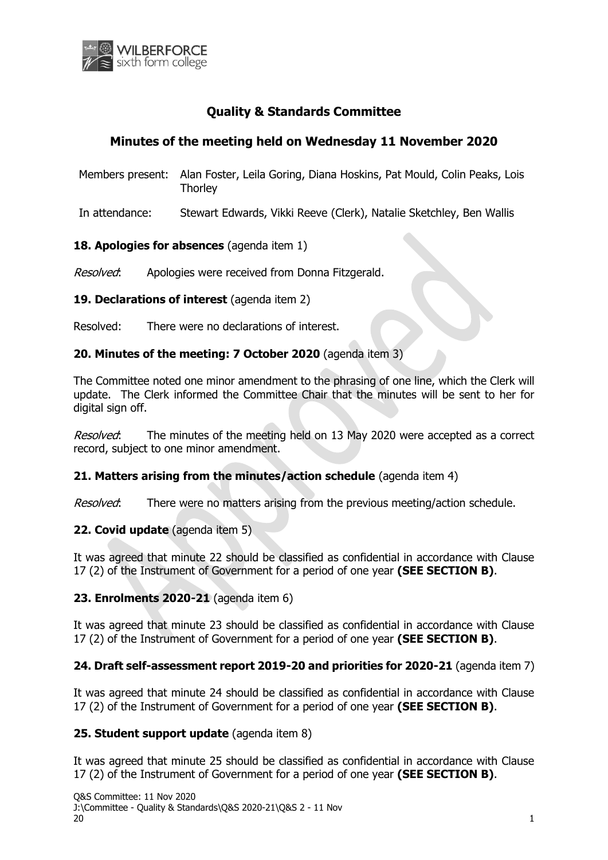

# **Quality & Standards Committee**

# **Minutes of the meeting held on Wednesday 11 November 2020**

- Members present: Alan Foster, Leila Goring, Diana Hoskins, Pat Mould, Colin Peaks, Lois **Thorley**
- In attendance: Stewart Edwards, Vikki Reeve (Clerk), Natalie Sketchley, Ben Wallis

### **18. Apologies for absences** (agenda item 1)

Resolved: Apologies were received from Donna Fitzgerald.

### **19. Declarations of interest** (agenda item 2)

Resolved: There were no declarations of interest.

### **20. Minutes of the meeting: 7 October 2020** (agenda item 3)

The Committee noted one minor amendment to the phrasing of one line, which the Clerk will update. The Clerk informed the Committee Chair that the minutes will be sent to her for digital sign off.

Resolved: The minutes of the meeting held on 13 May 2020 were accepted as a correct record, subject to one minor amendment.

## **21. Matters arising from the minutes/action schedule** (agenda item 4)

Resolved: There were no matters arising from the previous meeting/action schedule.

#### **22. Covid update** (agenda item 5)

It was agreed that minute 22 should be classified as confidential in accordance with Clause 17 (2) of the Instrument of Government for a period of one year **(SEE SECTION B)**.

## **23. Enrolments 2020-21** (agenda item 6)

It was agreed that minute 23 should be classified as confidential in accordance with Clause 17 (2) of the Instrument of Government for a period of one year **(SEE SECTION B)**.

#### **24. Draft self-assessment report 2019-20 and priorities for 2020-21** (agenda item 7)

It was agreed that minute 24 should be classified as confidential in accordance with Clause 17 (2) of the Instrument of Government for a period of one year **(SEE SECTION B)**.

#### **25. Student support update** (agenda item 8)

It was agreed that minute 25 should be classified as confidential in accordance with Clause 17 (2) of the Instrument of Government for a period of one year **(SEE SECTION B)**.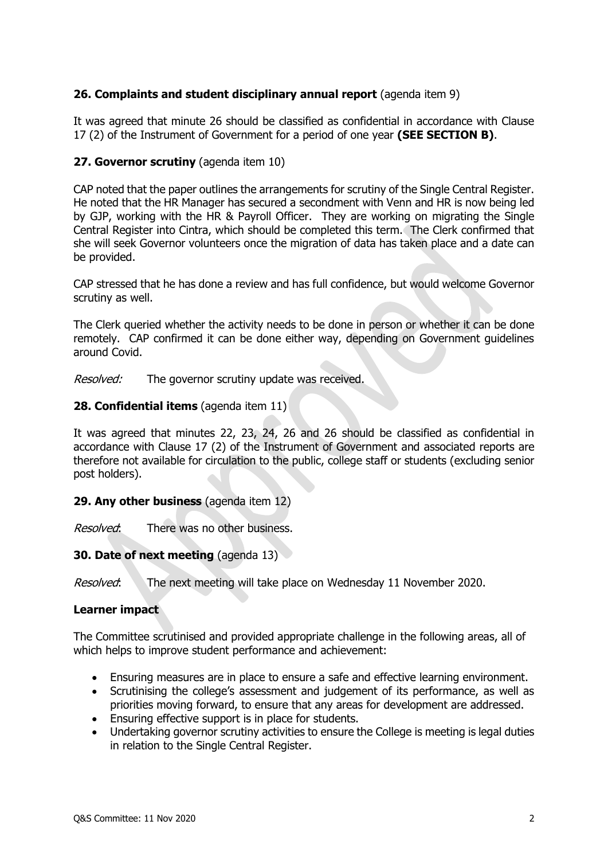## **26. Complaints and student disciplinary annual report** (agenda item 9)

It was agreed that minute 26 should be classified as confidential in accordance with Clause 17 (2) of the Instrument of Government for a period of one year **(SEE SECTION B)**.

### **27. Governor scrutiny** (agenda item 10)

CAP noted that the paper outlines the arrangements for scrutiny of the Single Central Register. He noted that the HR Manager has secured a secondment with Venn and HR is now being led by GJP, working with the HR & Payroll Officer. They are working on migrating the Single Central Register into Cintra, which should be completed this term. The Clerk confirmed that she will seek Governor volunteers once the migration of data has taken place and a date can be provided.

CAP stressed that he has done a review and has full confidence, but would welcome Governor scrutiny as well.

The Clerk queried whether the activity needs to be done in person or whether it can be done remotely. CAP confirmed it can be done either way, depending on Government guidelines around Covid.

Resolved: The governor scrutiny update was received.

## **28. Confidential items** (agenda item 11)

It was agreed that minutes 22, 23, 24, 26 and 26 should be classified as confidential in accordance with Clause 17 (2) of the Instrument of Government and associated reports are therefore not available for circulation to the public, college staff or students (excluding senior post holders).

#### **29. Any other business** (agenda item 12)

Resolved: There was no other business.

#### **30. Date of next meeting** (agenda 13)

Resolved: The next meeting will take place on Wednesday 11 November 2020.

#### **Learner impact**

The Committee scrutinised and provided appropriate challenge in the following areas, all of which helps to improve student performance and achievement:

- Ensuring measures are in place to ensure a safe and effective learning environment.
- Scrutinising the college's assessment and judgement of its performance, as well as priorities moving forward, to ensure that any areas for development are addressed.
- Ensuring effective support is in place for students.
- Undertaking governor scrutiny activities to ensure the College is meeting is legal duties in relation to the Single Central Register.